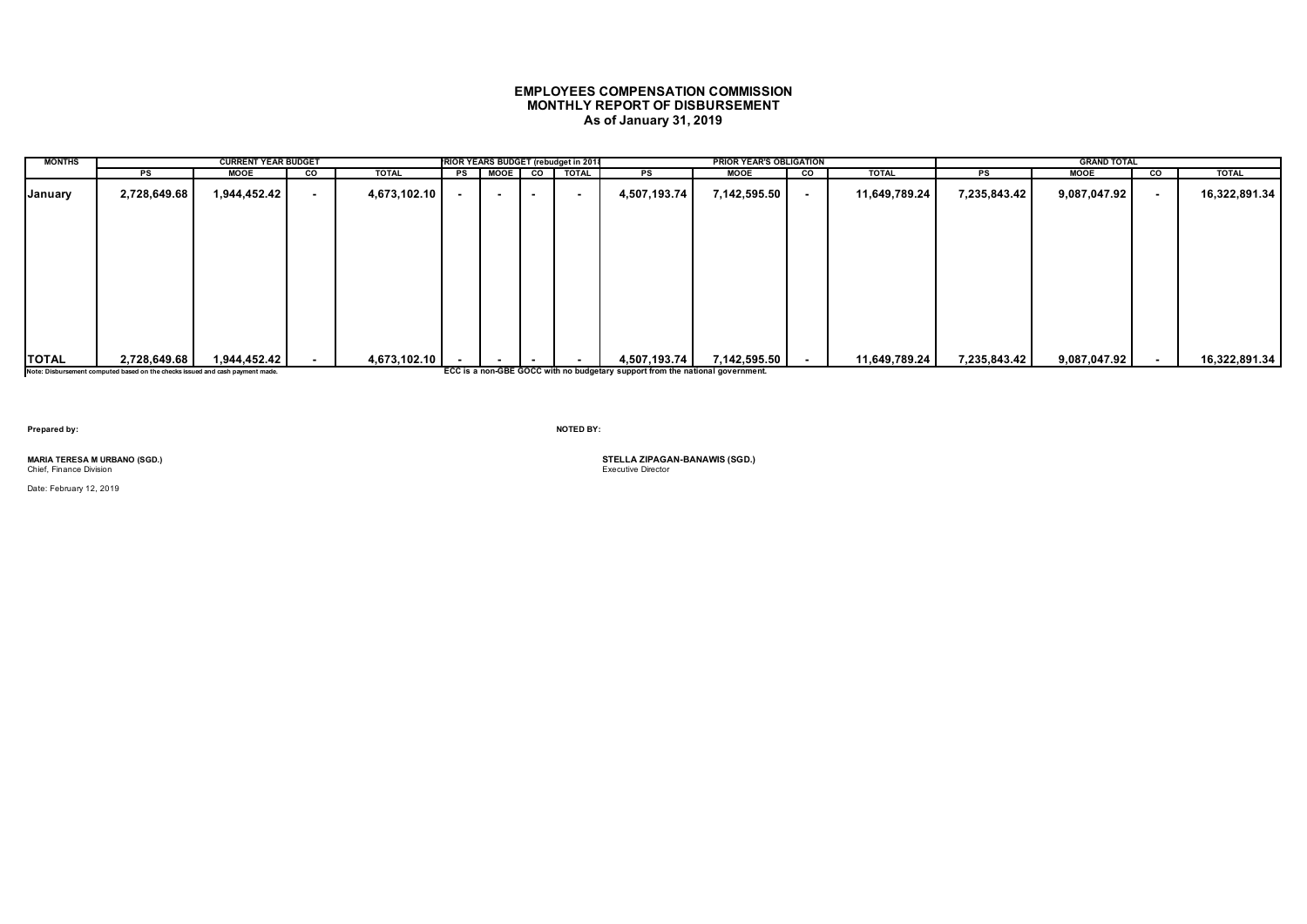# **EMPLOYEES COMPENSATION COMMISSION MONTHLY REPORT OF DISBURSEMENT As of January 31, 2019**

| <b>MONTHS</b> |                                                                               | <b>CURRENT YEAR BUDGET</b> |        |              |    |             |        | RIOR YEARS BUDGET (rebudget in 2018 |                                                                               | <b>PRIOR YEAR'S OBLIGATION</b> |                |               |              | <b>GRAND TOTAL</b> |    |               |
|---------------|-------------------------------------------------------------------------------|----------------------------|--------|--------------|----|-------------|--------|-------------------------------------|-------------------------------------------------------------------------------|--------------------------------|----------------|---------------|--------------|--------------------|----|---------------|
|               | PS                                                                            | <b>MOOE</b>                | co     | <b>TOTAL</b> | PS | <b>MOOE</b> | co     | <b>TOTAL</b>                        | PS                                                                            | <b>MOOE</b>                    | <b>CO</b>      | <b>TOTAL</b>  | PS           | MOOE               | CO | <b>TOTAL</b>  |
| January       | 2,728,649.68                                                                  | 1,944,452.42               | $\sim$ | 4,673,102.10 |    | $\sim$      | $\sim$ |                                     | 4,507,193.74                                                                  | 7,142,595.50                   | $\blacksquare$ | 11,649,789.24 | 7,235,843.42 | 9,087,047.92       |    | 16,322,891.34 |
|               |                                                                               |                            |        |              |    |             |        |                                     |                                                                               |                                |                |               |              |                    |    |               |
|               |                                                                               |                            |        |              |    |             |        |                                     |                                                                               |                                |                |               |              |                    |    |               |
|               |                                                                               |                            |        |              |    |             |        |                                     |                                                                               |                                |                |               |              |                    |    |               |
|               |                                                                               |                            |        |              |    |             |        |                                     |                                                                               |                                |                |               |              |                    |    |               |
|               |                                                                               |                            |        |              |    |             |        |                                     |                                                                               |                                |                |               |              |                    |    |               |
| <b>TOTAL</b>  | 2,728,649.68                                                                  | 1,944,452.42               |        | 4,673,102.10 |    |             |        |                                     | 4,507,193.74                                                                  | 7,142,595.50                   |                | 11,649,789.24 | 7,235,843.42 | 9,087,047.92       |    | 16,322,891.34 |
|               |                                                                               |                            |        |              |    |             |        |                                     |                                                                               |                                | $\blacksquare$ |               |              |                    |    |               |
|               | Note: Disbursement computed based on the checks issued and cash payment made. |                            |        |              |    |             |        |                                     | ECC is a non-GBE GOCC with no budgetary support from the national government. |                                |                |               |              |                    |    |               |

**Prepared by: NOTED BY:**

Chief, Finance Division

Date: February 12, 2019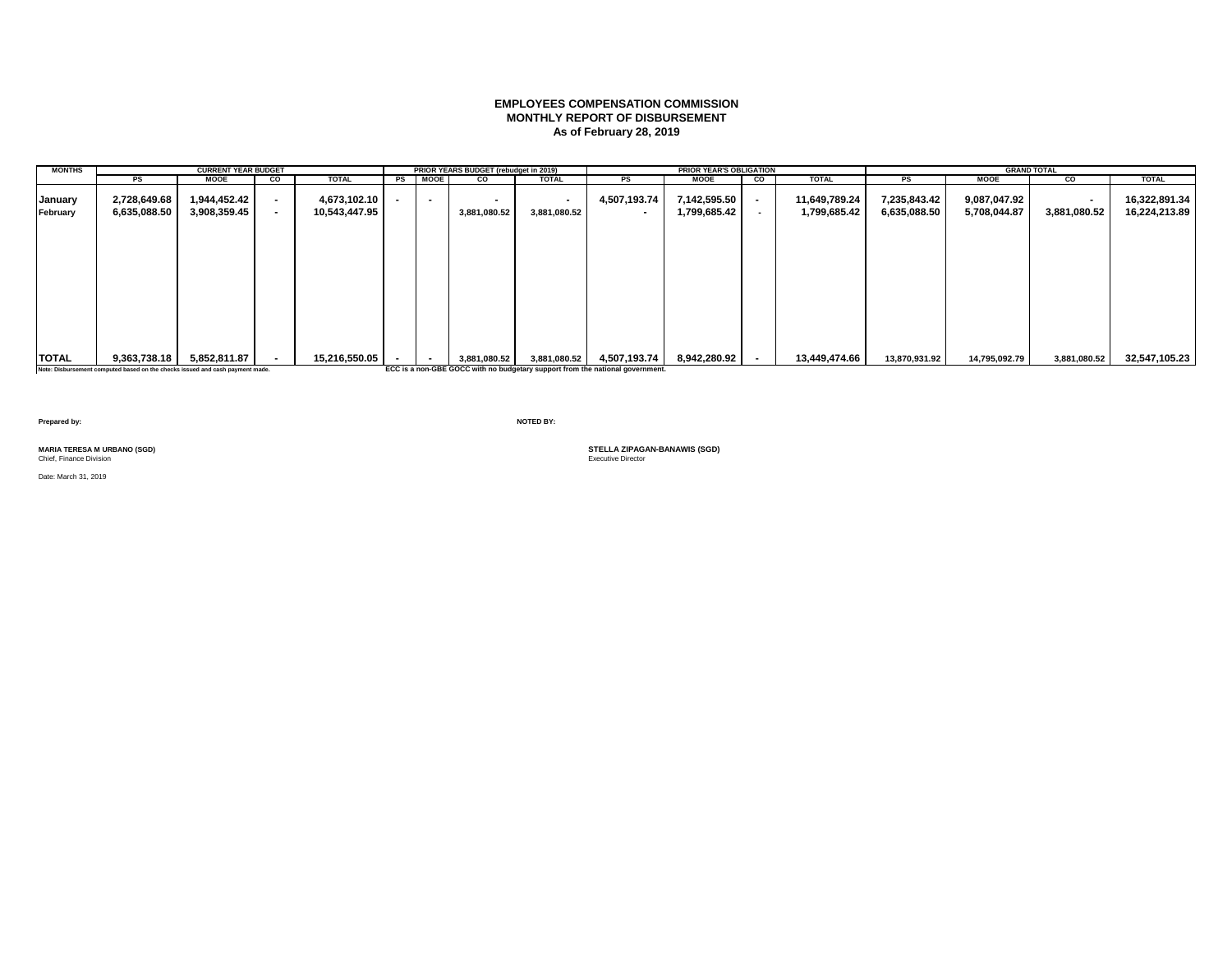# **EMPLOYEES COMPENSATION COMMISSION MONTHLY REPORT OF DISBURSEMENT As of February 28, 2019**

| <b>MONTHS</b>       |                                                                                                                                    | <b>CURRENT YEAR BUDGET</b>   |    |                               |         | PRIOR YEARS BUDGET (rebudget in 2019) |                        |                                                                                              | <b>PRIOR YEAR'S OBLIGATION</b> |                          |                               |                              | <b>GRAND TOTAL</b>           |              |                                |
|---------------------|------------------------------------------------------------------------------------------------------------------------------------|------------------------------|----|-------------------------------|---------|---------------------------------------|------------------------|----------------------------------------------------------------------------------------------|--------------------------------|--------------------------|-------------------------------|------------------------------|------------------------------|--------------|--------------------------------|
|                     | PS                                                                                                                                 | <b>MOOE</b>                  | co | <b>TOTAL</b>                  | PS MOOE | CO.                                   | <b>TOTAL</b>           | PS                                                                                           | <b>MOOE</b>                    | CO                       | <b>TOTAL</b>                  | PS                           | <b>MOOE</b>                  | CO           | <b>TOTAL</b>                   |
| January<br>February | 2,728,649.68<br>6,635,088.50                                                                                                       | 1,944,452.42<br>3,908,359.45 |    | 4,673,102.10<br>10,543,447.95 |         | 3,881,080.52                          | $\sim$<br>3,881,080.52 | 4,507,193.74<br>$\overline{\phantom{a}}$                                                     | 7,142,595.50<br>1,799,685.42   | $\blacksquare$           | 11,649,789.24<br>1,799,685.42 | 7,235,843.42<br>6,635,088.50 | 9,087,047.92<br>5,708,044.87 | 3,881,080.52 | 16,322,891.34<br>16,224,213.89 |
|                     |                                                                                                                                    |                              |    |                               |         |                                       |                        |                                                                                              |                                |                          |                               |                              |                              |              |                                |
| <b>TOTAL</b>        | 9,363,738.18<br>The contribution of a contract of the contract of the state of the contract of the contract of the contract of the | 5,852,811.87                 |    | 15,216,550.05                 |         | 3,881,080.52                          | 3,881,080.52           | 4,507,193.74<br>FCC is a new CBE COCC with no budgeton; cunnect from the national generation | 8,942,280.92                   | $\overline{\phantom{a}}$ | 13,449,474.66                 | 13,870,931.92                | 14,795,092.79                | 3,881,080.52 | 32,547,105.23                  |

**Note: Disbursement computed based on the checks issued and cash payment made. ECC is a non-GBE GOCC with no budgetary support from the national government.**

**Prepared by: NOTED BY:**

**Chief, Finance Division** 

Date: March 31, 2019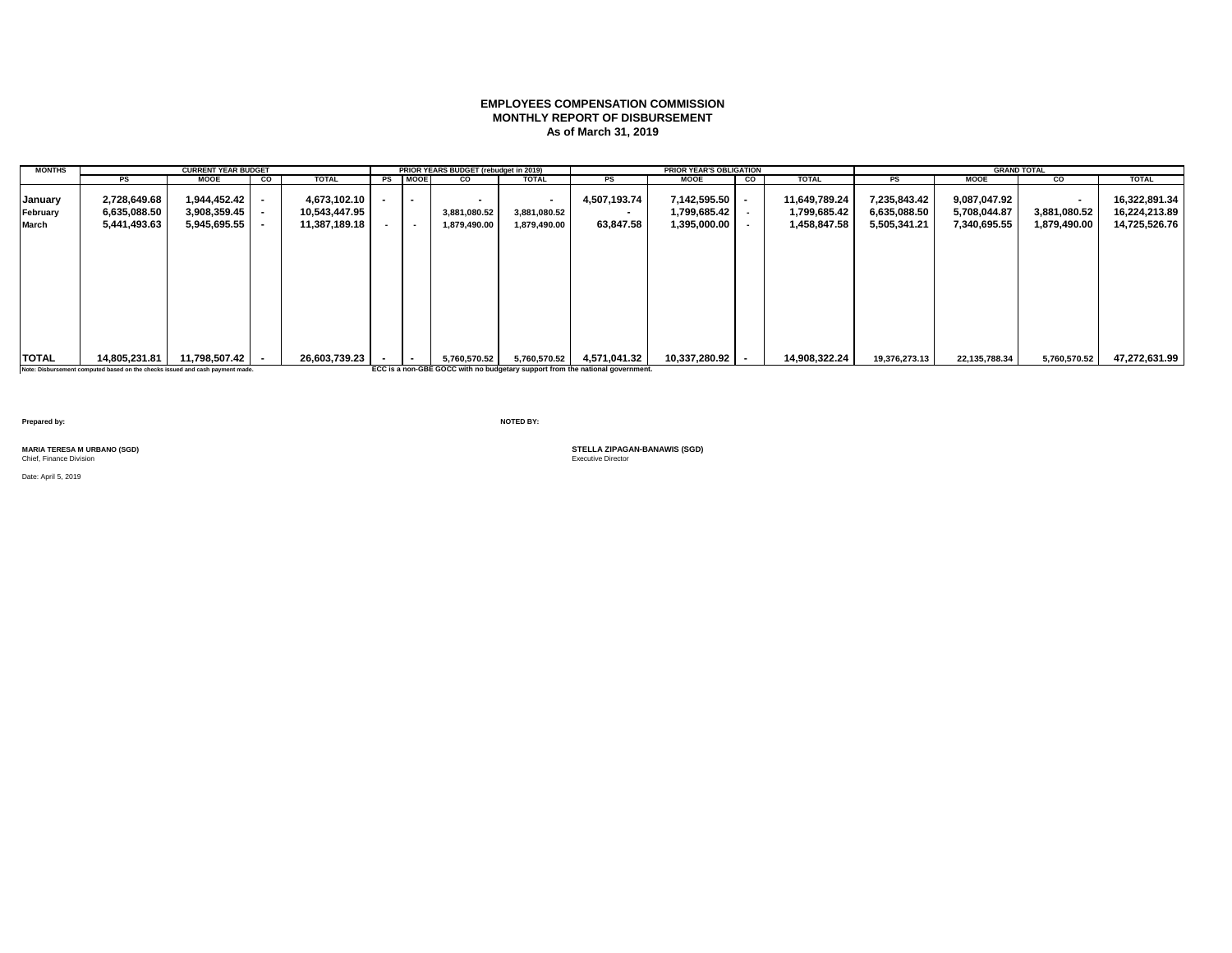### **EMPLOYEES COMPENSATION COMMISSION MONTHLY REPORT OF DISBURSEMENT As of March 31, 2019**

| <b>MONTHS</b>                |                                                                                                | <b>CURRENT YEAR BUDGET</b>                   |    |                                                |                                    | PRIOR YEARS BUDGET (rebudget in 2019) |                                        |                                                                                               | <b>PRIOR YEAR'S OBLIGATION</b>               |      |                                               |                                              | <b>GRAND TOTAL</b>                           |                              |                                                 |
|------------------------------|------------------------------------------------------------------------------------------------|----------------------------------------------|----|------------------------------------------------|------------------------------------|---------------------------------------|----------------------------------------|-----------------------------------------------------------------------------------------------|----------------------------------------------|------|-----------------------------------------------|----------------------------------------------|----------------------------------------------|------------------------------|-------------------------------------------------|
|                              | PS                                                                                             | <b>MOOE</b>                                  | CO | <b>TOTAL</b>                                   | PS MOOE                            | <b>CO</b>                             | <b>TOTAL</b>                           | PS                                                                                            | <b>MOOE</b>                                  | co l | <b>TOTAL</b>                                  | PS                                           | <b>MOOE</b>                                  | CO                           | <b>TOTAL</b>                                    |
| January<br>February<br>March | 2,728,649.68<br>6,635,088.50<br>5,441,493.63                                                   | 1,944,452.42<br>3,908,359.45<br>5,945,695.55 |    | 4,673,102.10<br>10,543,447.95<br>11,387,189.18 | $\overline{\phantom{a}}$<br>$\sim$ | 3,881,080.52<br>1,879,490.00          | $\sim$<br>3,881,080.52<br>1,879,490.00 | 4,507,193.74<br>63,847.58                                                                     | 7,142,595.50<br>1,799,685.42<br>1,395,000.00 |      | 11,649,789.24<br>1,799,685.42<br>1,458,847.58 | 7,235,843.42<br>6,635,088.50<br>5,505,341.21 | 9,087,047.92<br>5,708,044.87<br>7,340,695.55 | 3,881,080.52<br>1,879,490.00 | 16,322,891.34<br>16,224,213.89<br>14,725,526.76 |
| <b>ITOTAL</b>                | 14,805,231.81<br>Note: Disbursement computed based on the checks issued and cash payment made. | 11.798.507.42                                |    | 26,603,739.23                                  | $\overline{\phantom{a}}$           | 5,760,570.52                          | 5,760,570.52                           | 4.571.041.32<br>ECC is a non-GBE GOCC with no budgetary support from the national government. | 10,337,280.92 -                              |      | 14,908,322.24                                 | 19,376,273.13                                | 22,135,788.34                                | 5,760,570.52                 | 47,272,631.99                                   |

**Prepared by: NOTED BY:**

**Chief, Finance Division** 

Date: April 5, 2019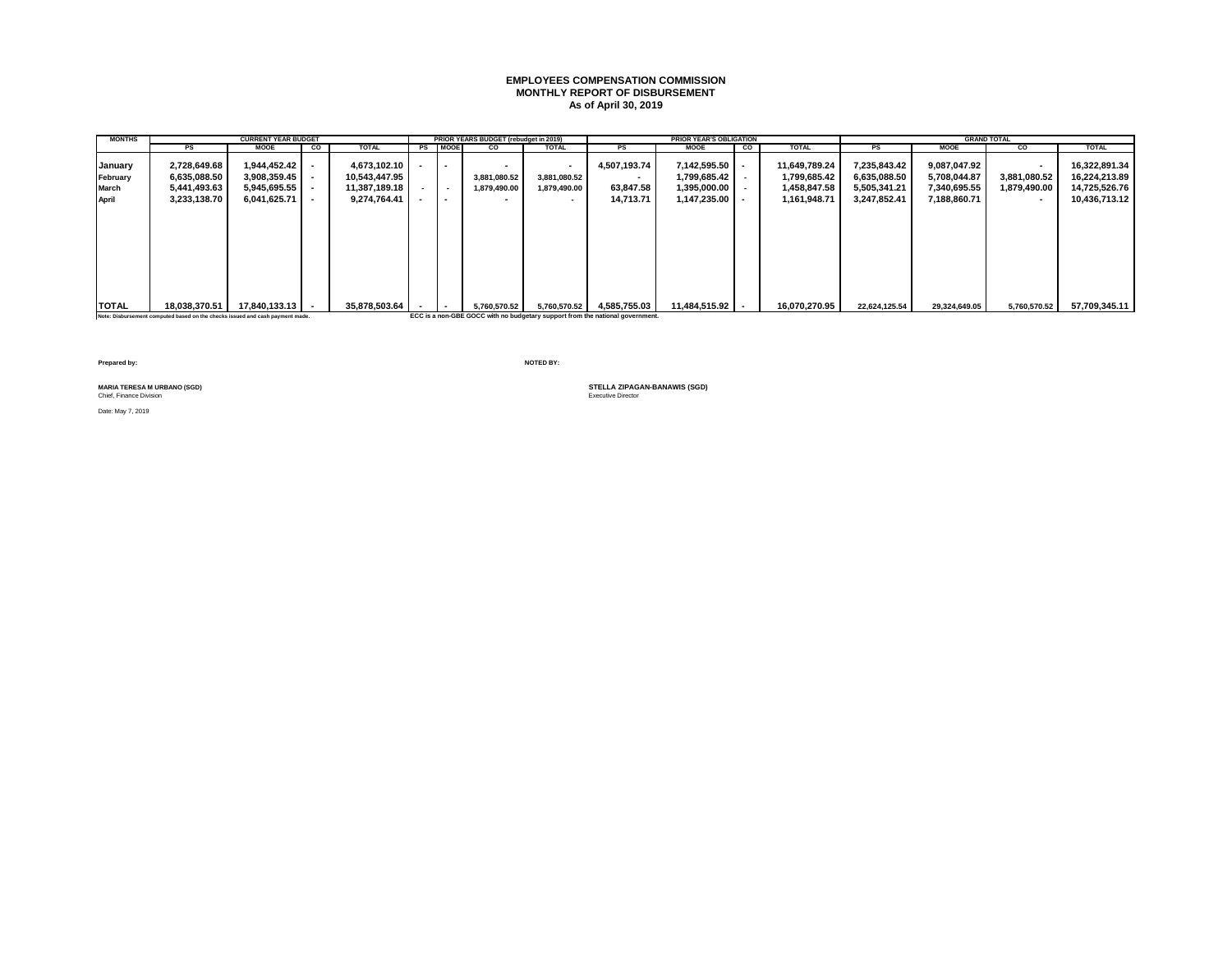#### **EMPLOYEES COMPENSATION COMMISSION MONTHLY REPORT OF DISBURSEMENT As of April 30, 2019**

| <b>MONTHS</b> |               | <b>CURRENT YEAR BUDGET</b>     |    |               |         | PRIOR YEARS BUDGET (rebudget in 2019) |                          |                          | <b>PRIOR YEAR'S OBLIGATION</b> |           |               |               |               | <b>GRAND TOTAL</b> |               |
|---------------|---------------|--------------------------------|----|---------------|---------|---------------------------------------|--------------------------|--------------------------|--------------------------------|-----------|---------------|---------------|---------------|--------------------|---------------|
|               | PS            | <b>MOOE</b>                    | CO | <b>TOTAL</b>  | PS MOOE | CO                                    | <b>TOTAL</b>             | PS                       | <b>MOOE</b>                    | <b>CO</b> | <b>TOTAL</b>  | PS            | <b>MOOE</b>   | <b>CO</b>          | <b>TOTAL</b>  |
| January       | 2,728,649.68  | 1,944,452.42                   |    | 4.673.102.10  | $\sim$  |                                       | $\overline{\phantom{a}}$ | 4,507,193.74             | 7.142.595.50                   |           | 11,649,789.24 | 7,235,843.42  | 9,087,047.92  |                    | 16.322.891.34 |
| February      | 6,635,088.50  | $3,908,359.45$ -               |    | 10,543,447.95 |         | 3,881,080.52                          | 3,881,080.52             | $\overline{\phantom{a}}$ | 1,799,685.42                   |           | 1,799,685.42  | 6,635,088.50  | 5,708,044.87  | 3,881,080.52       | 16,224,213.89 |
| March         | 5,441,493.63  | $5,945,695.55$ -               |    | 11,387,189.18 | $\sim$  | 1,879,490.00                          | 1,879,490.00             | 63,847.58                | 1,395,000.00                   |           | 1,458,847.58  | 5,505,341.21  | 7,340,695.55  | 1,879,490.00       | 14,725,526.76 |
| April         | 3,233,138.70  | $6,041,625.71$ -               |    | 9.274.764.41  | $\sim$  |                                       | $\overline{\phantom{a}}$ | 14,713.71                | 1,147,235.00                   |           | 1,161,948.71  | 3.247.852.41  | 7,188,860.71  | $\sim$             | 10.436.713.12 |
|               |               |                                |    |               |         |                                       |                          |                          |                                |           |               |               |               |                    |               |
| <b>TOTAL</b>  | 18,038,370.51 | $17.840.133.13$ $\blacksquare$ |    | 35.878.503.64 |         | 5,760,570.52                          | 5,760,570.52             | 4,585,755.03             | 11.484.515.92                  |           | 16.070.270.95 | 22.624.125.54 | 29.324.649.05 | 5.760.570.52       | 57.709.345.11 |

**Note: Disbursement computed based on the checks issued and cash payment made. ECC is a non-GBE GOCC with no budgetary support from the national government.**

**Prepared by: NOTED BY:**

Chief, Finance Division

Date: May 7, 2019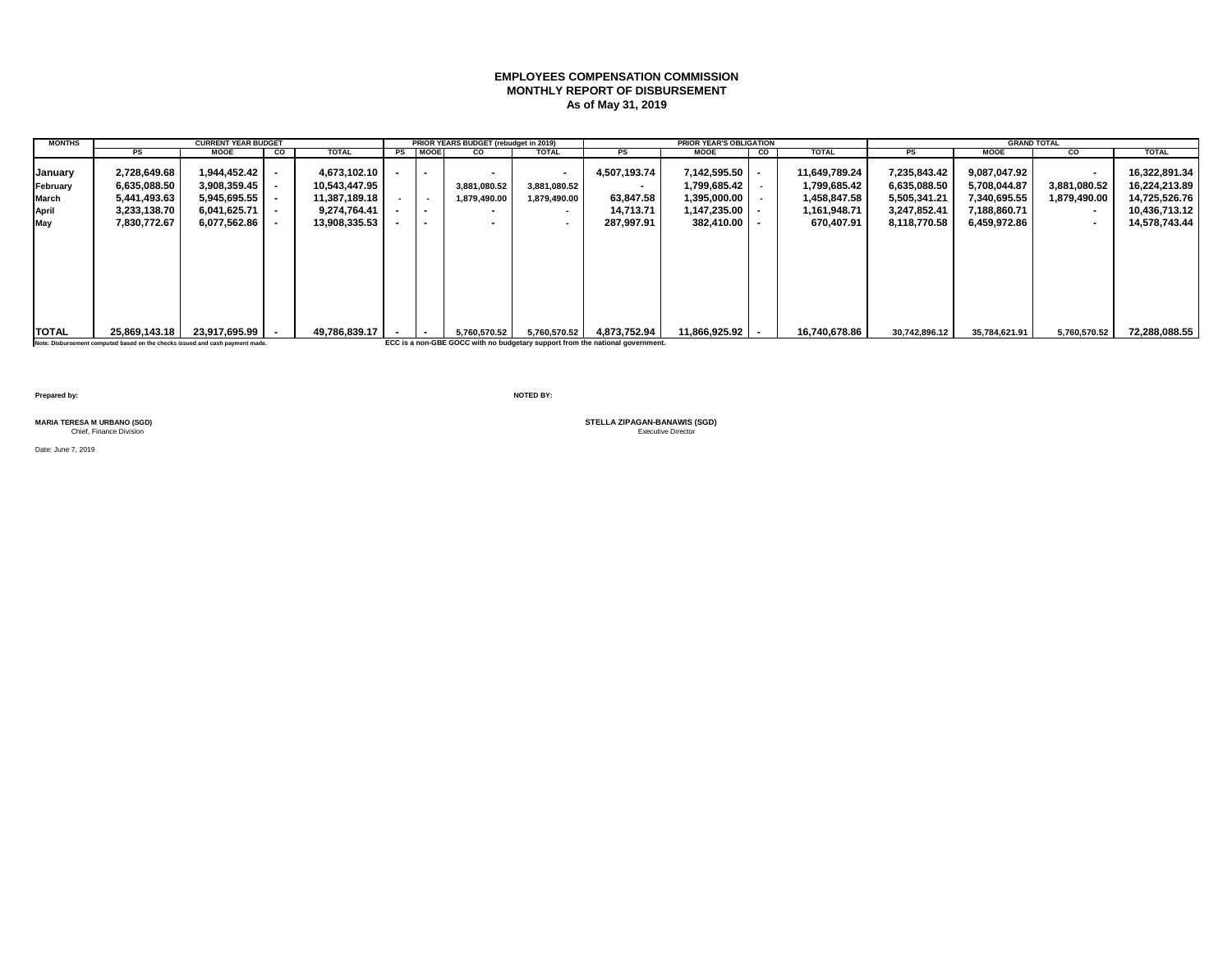# **EMPLOYEES COMPENSATION COMMISSION MONTHLY REPORT OF DISBURSEMENT As of May 31, 2019**

| <b>MONTHS</b>       |                                                                               | <b>CURRENT YEAR BUDGET</b>   |    |                               |         | PRIOR YEARS BUDGET (rebudget in 2019) |                                          |                                                                               | <b>PRIOR YEAR'S OBLIGATION</b> |    |                               |                              | <b>GRAND TOTAL</b>           |                      |                                |
|---------------------|-------------------------------------------------------------------------------|------------------------------|----|-------------------------------|---------|---------------------------------------|------------------------------------------|-------------------------------------------------------------------------------|--------------------------------|----|-------------------------------|------------------------------|------------------------------|----------------------|--------------------------------|
|                     | <b>PS</b>                                                                     | <b>MOOE</b>                  | CO | <b>TOTAL</b>                  | PS MOOE | CO                                    | <b>TOTAL</b>                             | <b>PS</b>                                                                     | MOOE                           | CO | <b>TOTAL</b>                  | <b>PS</b>                    | <b>MOOE</b>                  | CO                   | <b>TOTAL</b>                   |
| January<br>February | 2,728,649.68<br>6,635,088.50                                                  | 1,944,452.42<br>3,908,359.45 |    | 4.673.102.10<br>10.543.447.95 |         | 3,881,080.52                          | $\overline{\phantom{a}}$<br>3,881,080.52 | 4,507,193.74<br>$\sim$                                                        | 7,142,595.50<br>1.799.685.42   |    | 11,649,789.24<br>1,799,685.42 | 7,235,843.42<br>6,635,088.50 | 9,087,047.92<br>5,708,044.87 | $\,$<br>3,881,080.52 | 16,322,891.34<br>16,224,213.89 |
| March               | 5,441,493.63                                                                  | 5,945,695.55                 |    | 11,387,189.18                 |         | 1,879,490.00                          | 1,879,490.00                             | 63,847.58                                                                     | 1,395,000.00                   |    | 1,458,847.58                  | 5,505,341.21                 | 7,340,695.55                 | 1,879,490.00         | 14,725,526.76                  |
| April               | 3,233,138.70                                                                  | 6,041,625.71                 |    | 9.274.764.41                  |         |                                       | $\overline{\phantom{a}}$                 | 14,713.71                                                                     | 1,147,235.00                   |    | 1,161,948.71                  | 3,247,852.41                 | 7,188,860.71                 | $\sim$               | 10,436,713.12                  |
| May                 | 7,830,772.67                                                                  | 6,077,562.86                 |    | 13,908,335.53                 |         |                                       | $\sim$                                   | 287.997.91                                                                    | 382.410.00 l                   |    | 670,407.91                    | 8,118,770.58                 | 6,459,972.86                 | $\sim$               | 14,578,743.44                  |
|                     |                                                                               |                              |    |                               |         |                                       |                                          |                                                                               |                                |    |                               |                              |                              |                      |                                |
| <b>TOTAL</b>        | 25.869.143.18                                                                 | 23.917.695.99                |    | 49.786.839.17                 |         | 5.760.570.52                          | 5,760,570.52                             | 4.873.752.94                                                                  | $11.866.925.92$   -            |    | 16.740.678.86                 | 30,742,896.12                | 35,784,621.91                | 5,760,570.52         | 72,288,088.55                  |
|                     | Note: Disbursement computed based on the checks issued and cash payment made. |                              |    |                               |         |                                       |                                          | ECC is a non-GBE GOCC with no budgetary support from the national government. |                                |    |                               |                              |                              |                      |                                |

**Prepared by: NOTED BY:**

Date: June 7, 2019

MARIA TERESA M URBANO (SGD)<br>Chief, Finance Division<br>
Chief, Finance Division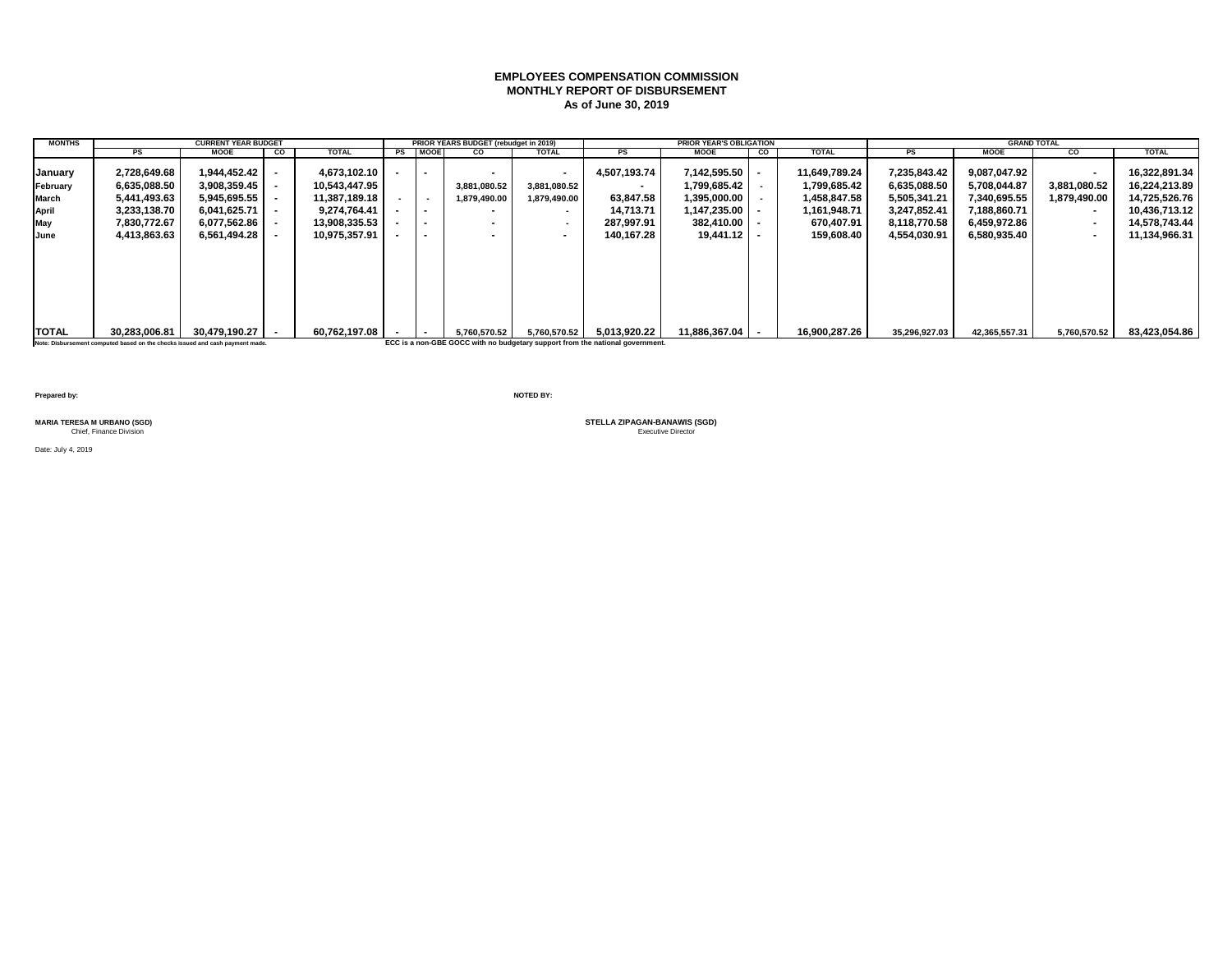## **EMPLOYEES COMPENSATION COMMISSION MONTHLY REPORT OF DISBURSEMENT As of June 30, 2019**

| <b>MONTHS</b>                                               |                                                                                                | <b>CURRENT YEAR BUDGET</b>                                                                   |    |                                                                                                  |                                           | PRIOR YEARS BUDGET (rebudget in 2019) |                                                                                           |                                                                                               | <b>PRIOR YEAR'S OBLIGATION</b>                                                                |    |                                                                                           |                                                                                              | <b>GRAND TOTAL</b>                                                                           |                                                                                                                  |                                                                                                    |
|-------------------------------------------------------------|------------------------------------------------------------------------------------------------|----------------------------------------------------------------------------------------------|----|--------------------------------------------------------------------------------------------------|-------------------------------------------|---------------------------------------|-------------------------------------------------------------------------------------------|-----------------------------------------------------------------------------------------------|-----------------------------------------------------------------------------------------------|----|-------------------------------------------------------------------------------------------|----------------------------------------------------------------------------------------------|----------------------------------------------------------------------------------------------|------------------------------------------------------------------------------------------------------------------|----------------------------------------------------------------------------------------------------|
|                                                             | <b>PS</b>                                                                                      | <b>MOOE</b>                                                                                  | CO | <b>TOTAL</b>                                                                                     | PS MOOE                                   | CO                                    | <b>TOTAL</b>                                                                              | PS                                                                                            | <b>MOOE</b>                                                                                   | CO | <b>TOTAL</b>                                                                              | <b>PS</b>                                                                                    | <b>MOOE</b>                                                                                  | CO                                                                                                               | <b>TOTAL</b>                                                                                       |
| January<br>February<br>March<br><b>April</b><br>May<br>June | 2,728,649.68<br>6.635.088.50<br>5,441,493.63<br>3.233.138.70<br>7,830,772.67<br>4,413,863.63   | 1.944.452.42<br>3,908,359.45<br>5,945,695.55<br>6.041.625.71<br>6,077,562.86<br>6.561.494.28 |    | 4.673.102.10<br>10.543.447.95<br>11,387,189.18<br>9.274.764.41<br>13,908,335.53<br>10.975.357.91 | $\overline{\phantom{0}}$<br>. .<br>$\sim$ | 3,881,080.52<br>1,879,490.00          | $\,$ $\,$<br>3,881,080.52<br>1,879,490.00<br>$\sim$<br>$\overline{\phantom{a}}$<br>$\sim$ | 4.507.193.74<br>$\sim$<br>63,847.58<br>14.713.71<br>287.997.91<br>140.167.28                  | 7,142,595.50<br>1.799.685.42  <br>1,395,000.00<br>1,147,235.00  <br>382,410.00<br>19.441.12 l |    | 11.649.789.24<br>1.799.685.42<br>1,458,847.58<br>1,161,948.71<br>670,407.91<br>159.608.40 | 7,235,843.42<br>6.635.088.50<br>5,505,341.21<br>3.247.852.41<br>8,118,770.58<br>4,554,030.91 | 9.087.047.92<br>5.708.044.87<br>7,340,695.55<br>7.188.860.71<br>6,459,972.86<br>6.580.935.40 | $\blacksquare$<br>3.881.080.52<br>1,879,490.00<br>$\sim$<br>$\overline{\phantom{a}}$<br>$\overline{\phantom{a}}$ | 16.322.891.34<br>16,224,213.89<br>14,725,526.76<br>10.436.713.12<br>14,578,743.44<br>11,134,966.31 |
| <b>TOTAL</b>                                                | 30.283.006.81<br>Note: Disbursement computed based on the checks issued and cash payment made. | 30.479.190.27                                                                                |    | 60.762.197.08                                                                                    |                                           | 5.760.570.52                          | 5,760,570.52                                                                              | 5.013.920.22<br>ECC is a non-GBE GOCC with no budgetary support from the national government. | 11.886.367.04                                                                                 |    | 16,900,287.26                                                                             | 35,296,927.03                                                                                | 42,365,557.31                                                                                | 5,760,570.52                                                                                                     | 83,423,054.86                                                                                      |
|                                                             |                                                                                                |                                                                                              |    |                                                                                                  |                                           |                                       |                                                                                           |                                                                                               |                                                                                               |    |                                                                                           |                                                                                              |                                                                                              |                                                                                                                  |                                                                                                    |

**Prepared by: NOTED BY:**

Date: July 4, 2019

MARIA TERESA M URBANO (SGD)<br>Chief, Finance Division<br>
Chief, Finance Division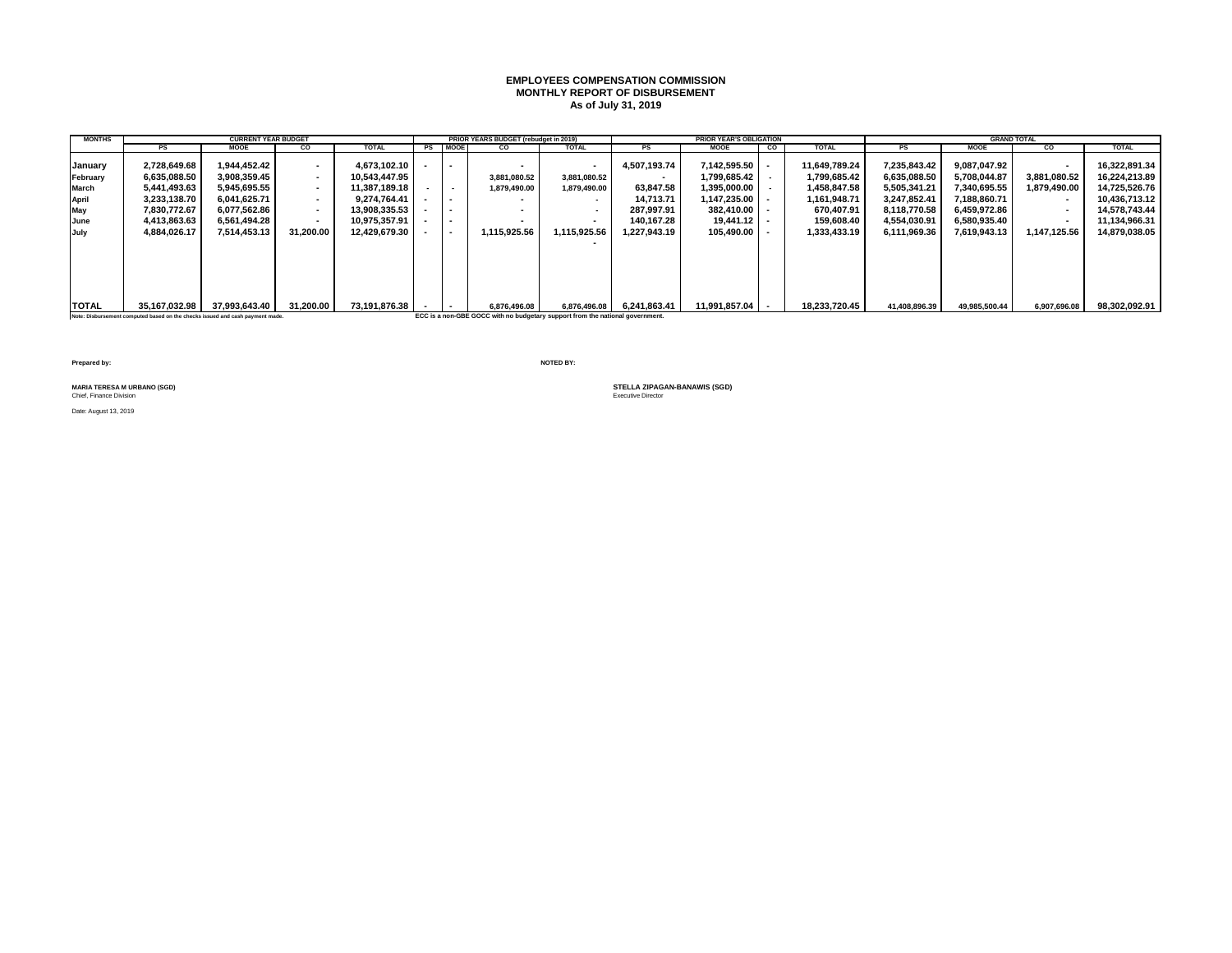#### **EMPLOYEES COMPENSATION COMMISSION MONTHLY REPORT OF DISBURSEMENT As of July 31, 2019**

| <b>MONTHS</b> |               | <b>CURRENT YEAR BUDGET</b> |                          |               |                          | PRIOR YEARS BUDGET (rebudget in 2019) |              |              | <b>PRIOR YEAR'S OBLIGATION</b> |    |               |               |               | <b>GRAND TOTAL</b> |               |
|---------------|---------------|----------------------------|--------------------------|---------------|--------------------------|---------------------------------------|--------------|--------------|--------------------------------|----|---------------|---------------|---------------|--------------------|---------------|
|               | <b>PS</b>     | <b>MOOE</b>                | <b>CO</b>                | <b>TOTAL</b>  | PS MOOE                  | CO.                                   | <b>TOTAL</b> | PS           | <b>MOOE</b>                    | CO | <b>TOTAL</b>  | PS            | <b>MOOE</b>   | <b>CO</b>          | <b>TOTAL</b>  |
| IJanuarv      | 2.728.649.68  | 944.452.42                 | $\sim$                   | 4.673.102.10  |                          |                                       |              | 4,507,193.74 | 7.142.595.50                   |    | 11.649.789.24 | 7,235,843.42  | 9.087.047.92  | $\blacksquare$     | 16.322.891.34 |
| February      | 6,635,088.50  | 3.908.359.45               | $\sim$                   | 10.543.447.95 |                          | 3,881,080.52                          | 3,881,080.52 |              | 1.799.685.42                   |    | 1,799,685.42  | 6,635,088.50  | 5.708.044.87  | 3,881,080.52       | 16,224,213.89 |
| March         | 5,441,493.63  | 5.945.695.55               | $\sim$                   | 11,387,189.18 | $\sim$                   | 1,879,490.00                          | 1,879,490.00 | 63.847.58    | 1.395.000.00                   |    | 1,458,847.58  | 5,505,341.21  | 7.340.695.55  | 1,879,490.00       | 14,725,526.76 |
| April         | 3,233,138.70  | 6.041.625.71               | $\sim$                   | 9.274.764.41  | $\sim$                   | $\overline{\phantom{a}}$              |              | 14.713.71    | 1.147.235.00                   |    | 1,161,948.71  | 3.247.852.41  | 7,188,860.71  |                    | 10.436.713.12 |
| May           | 7.830.772.67  | 6.077.562.86               | $\sim$                   | 13,908,335.53 |                          | -                                     |              | 287.997.91   | 382.410.00                     |    | 670,407.91    | 8.118.770.58  | 6,459,972.86  | $\blacksquare$     | 14.578.743.44 |
| June          | 4.413.863.63  | 6.561.494.28               | $\overline{\phantom{a}}$ | 10.975.357.91 |                          |                                       |              | 140.167.28   | $19.441.12$ $\blacksquare$     |    | 159.608.40    | 4,554,030.91  | 6,580,935.40  |                    | 11.134.966.31 |
| July          | 4,884,026.17  | 7.514.453.13               | 31.200.00                | 12.429.679.30 | $\overline{\phantom{a}}$ | 1.115.925.56                          | 1,115,925.56 | 1.227.943.19 | 105.490.00                     |    | 1,333,433.19  | 6,111,969.36  | 7,619,943.13  | 1,147,125.56       | 14,879,038.05 |
|               |               |                            |                          |               |                          |                                       |              |              |                                |    |               |               |               |                    |               |
| <b>TOTAL</b>  | 35.167.032.98 | 37.993.643.40              | 31.200.00                | 73,191,876.38 |                          | 6.876.496.08                          | 6.876.496.08 | 6.241.863.41 | 11.991.857.04   -              |    | 18.233.720.45 | 41,408,896.39 | 49.985.500.44 | 6,907,696.08       | 98.302.092.91 |

**Note: Disbursement computed based on the checks issued and cash payment made. ECC is a non-GBE GOCC with no budgetary support from the national government.**

**Prepared by: NOTED BY:**

MARIA TERESA M URBANO (SGD)<br>Chief, Finance Division

Date: August 13, 2019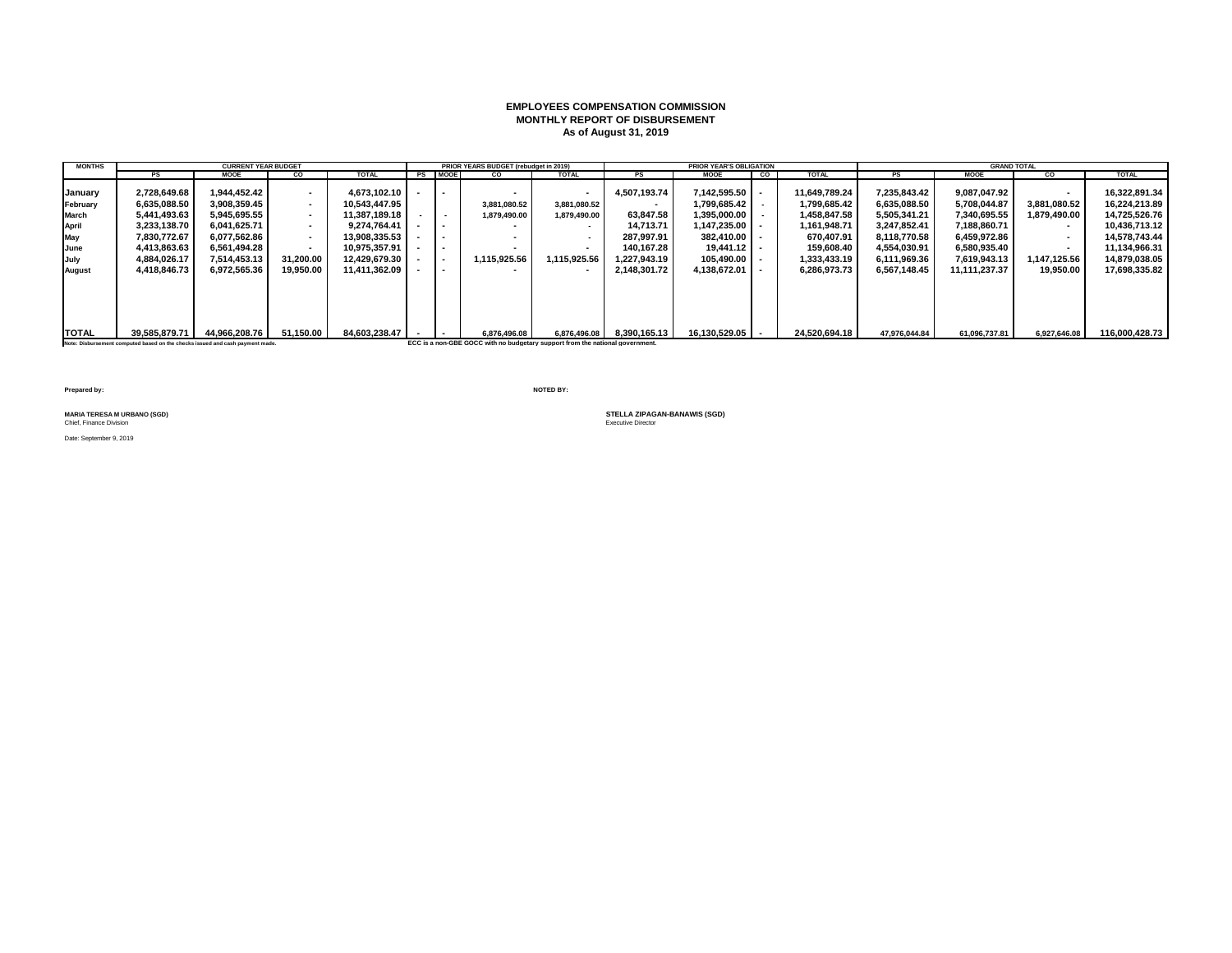### **EMPLOYEES COMPENSATION COMMISSION MONTHLY REPORT OF DISBURSEMENT As of August 31, 2019**

| <b>MONTHS</b> |               | <b>CURRENT YEAR BUDGET</b> |           |               |         | PRIOR YEARS BUDGET (rebudget in 2019) |                          |              | <b>PRIOR YEAR'S OBLIGATION</b> |                |               |               | <b>GRAND TOTAL</b> |              |                |
|---------------|---------------|----------------------------|-----------|---------------|---------|---------------------------------------|--------------------------|--------------|--------------------------------|----------------|---------------|---------------|--------------------|--------------|----------------|
|               | PS            | <b>MOOE</b>                | <b>CO</b> | <b>TOTAL</b>  | PS MOOE | CO                                    | <b>TOTAL</b>             |              | <b>MOOE</b>                    | $\overline{c}$ | <b>TOTAL</b>  | <b>PS</b>     | <b>MOOE</b>        | CO.          | <b>TOTAL</b>   |
| January       | 2.728.649.68  | 1.944.452.42               |           | 4.673.102.10  |         |                                       |                          | 4.507.193.74 | 7.142.595.50                   |                | 11.649.789.24 | 7.235.843.42  | 9.087.047.92       | $\sim$       | 16.322.891.34  |
| February      | 6.635.088.50  | 3.908.359.45               |           | 10.543.447.95 |         | 3.881.080.52                          | 3,881,080.52             | $\sim$       | 1.799.685.42                   |                | 1.799.685.42  | 6.635.088.50  | 5.708.044.87       | 3.881.080.52 | 16.224.213.89  |
| March         | 5,441,493.63  | 5.945.695.55               |           | 11.387.189.18 | $\sim$  | 1,879,490.00                          | 1,879,490.00             | 63.847.58    | 1.395.000.00                   |                | 1.458.847.58  | 5,505,341.21  | 7.340.695.55       | 1.879.490.00 | 14,725,526.76  |
| April         | 3,233,138.70  | 6.041.625.71               |           | 9.274.764.41  |         |                                       |                          | 14.713.71    | $1,147,235.00$ -               |                | 1,161,948.71  | 3,247,852.41  | 7.188.860.71       | $\sim$       | 10.436.713.12  |
| May           | 7.830.772.67  | 6.077.562.86               |           | 13.908.335.53 |         |                                       |                          | 287.997.91   | $382.410.00$ $\blacksquare$    |                | 670.407.91    | 8.118.770.58  | 6.459.972.86       | $\sim$       | 14.578.743.44  |
| June          | 4,413,863.63  | 6.561.494.28               |           | 10.975.357.91 |         |                                       | $\overline{\phantom{a}}$ | 140.167.28   | $19.441.12$ $\blacksquare$     |                | 159.608.40    | 4,554,030.91  | 6.580.935.40       | $\sim$       | 11.134.966.31  |
| July          | 4.884.026.17  | 7.514.453.13               | 31.200.00 | 12.429.679.30 |         | 1.115.925.56                          | 1.115.925.56             | 1.227.943.19 | 105.490.00                     |                | 1.333.433.19  | 6.111.969.36  | 7.619.943.13       | 1.147.125.56 | 14.879.038.05  |
| August        | 4.418.846.73  | 6.972.565.36               | 19,950.00 | 11.411.362.09 |         |                                       |                          | 2.148.301.72 | 4.138.672.01                   |                | 6,286,973.73  | 6.567.148.45  | 11.111.237.37      | 19,950.00    | 17,698,335.82  |
|               |               |                            |           |               |         |                                       |                          |              |                                |                |               |               |                    |              |                |
| <b>TOTAL</b>  | 39.585.879.71 | 44.966.208.76              | 51.150.00 | 84.603.238.47 |         | 6,876,496.08                          | 6.876.496.08             | 8.390.165.13 | 16.130.529.05                  |                | 24.520.694.18 | 47.976.044.84 | 61.096.737.81      | 6,927,646.08 | 116.000.428.73 |

**Note: Disbursement computed based on the checks issued and cash payment made. ECC is a non-GBE GOCC with no budgetary support from the national government.**

**Prepared by: NOTED BY:**

MARIA TERESA M URBANO (SGD)<br>Chief, Finance Division

Date: September 9, 2019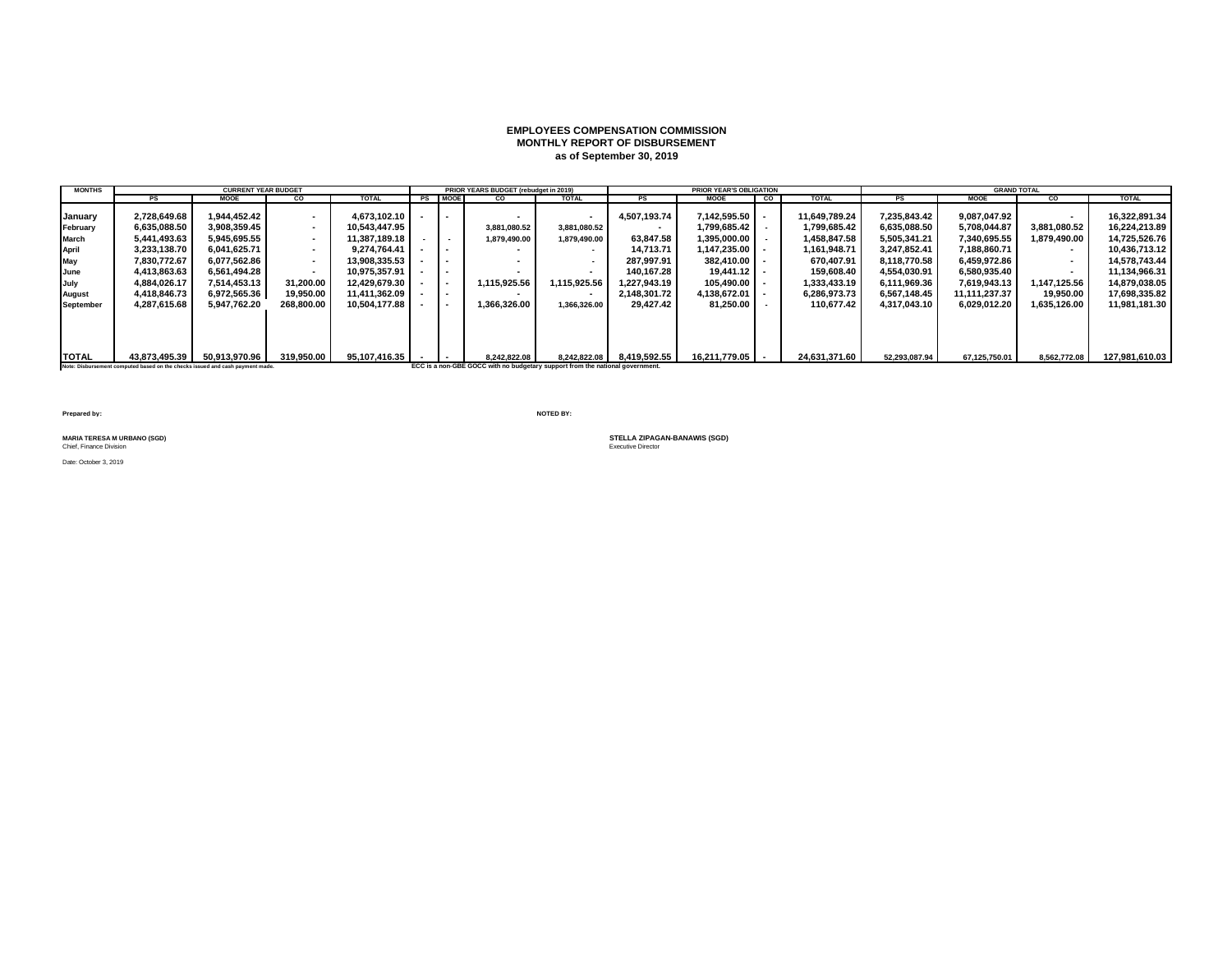### **EMPLOYEES COMPENSATION COMMISSION MONTHLY REPORT OF DISBURSEMENT as of September 30, 2019**

| <b>MONTHS</b>    |                                                                               | <b>CURRENT YEAR BUDGET</b> |            |               |                          | PRIOR YEARS BUDGET (rebudget in 2019)                                         |              |              | <b>PRIOR YEAR'S OBLIGATION</b> |    |               |               | <b>GRAND TOTAL</b> |              |                |
|------------------|-------------------------------------------------------------------------------|----------------------------|------------|---------------|--------------------------|-------------------------------------------------------------------------------|--------------|--------------|--------------------------------|----|---------------|---------------|--------------------|--------------|----------------|
|                  | <b>PS</b>                                                                     | <b>MOOE</b>                | CO         | <b>TOTAL</b>  | PS MOOE                  | <b>CO</b>                                                                     | <b>TOTAL</b> | <b>PS</b>    | <b>MOOE</b>                    | co | <b>TOTAL</b>  | PS            | <b>MOOE</b>        | <b>CO</b>    | <b>TOTAL</b>   |
|                  |                                                                               |                            |            |               |                          |                                                                               |              |              |                                |    |               |               |                    |              |                |
| January          | 2,728,649.68                                                                  | 1.944.452.42               | $\sim$     | 4.673.102.10  | $\sim$                   |                                                                               |              | 4,507,193.74 | 7.142.595.50                   |    | 11.649.789.24 | 7.235.843.42  | 9.087.047.92       | $\sim$       | 16,322,891.34  |
| February         | 6,635,088.50                                                                  | 3,908,359.45               |            | 10.543.447.95 |                          | 3,881,080.52                                                                  | 3,881,080.52 | $\sim$       | 1.799.685.42                   |    | 1,799,685.42  | 6,635,088.50  | 5.708.044.87       | 3,881,080.52 | 16.224.213.89  |
| <b>March</b>     | 5,441,493.63                                                                  | 5.945.695.55               | $\sim$     | 11.387.189.18 | $\overline{\phantom{a}}$ | 1.879.490.00                                                                  | 1.879.490.00 | 63.847.58    | 1.395.000.00 l                 |    | 1.458.847.58  | 5,505,341.21  | 7.340.695.55       | 1.879.490.00 | 14,725,526.76  |
| <b>April</b>     | 3.233.138.70                                                                  | 6.041.625.71               | $\sim$     | 9.274.764.41  | $\sim$                   |                                                                               |              | 14.713.71    | 1.147.235.00                   |    | 1.161.948.71  | 3.247.852.41  | 7.188.860.71       | $\sim$       | 10.436.713.12  |
| May              | 7.830.772.67                                                                  | 6.077.562.86               | $\sim$     | 13.908.335.53 | $\overline{\phantom{a}}$ |                                                                               |              | 287.997.91   | 382.410.00                     |    | 670.407.91    | 8.118.770.58  | 6.459.972.86       | . .          | 14.578.743.44  |
| June             | 4,413,863.63                                                                  | 6.561.494.28               |            | 10,975,357.91 | $\overline{\phantom{a}}$ |                                                                               |              | 140.167.28   | 19.441.12                      |    | 159,608.40    | 4,554,030.91  | 6,580,935.40       | $\sim$       | 11,134,966.31  |
| July             | 4,884,026.17                                                                  | 7.514.453.13               | 31,200.00  | 12.429.679.30 | $\overline{\phantom{a}}$ | 1.115.925.56                                                                  | 1,115,925.56 | 1.227.943.19 | 105.490.00                     |    | 1,333,433.19  | 6,111,969.36  | 7,619,943.13       | 1,147,125.56 | 14,879,038.05  |
| August           | 4,418,846.73                                                                  | 6,972,565.36               | 19,950.00  | 11.411.362.09 | $\overline{\phantom{a}}$ |                                                                               |              | 2.148.301.72 | 4.138.672.01                   |    | 6,286,973.73  | 6,567,148.45  | 11.111.237.37      | 19,950.00    | 17,698,335.82  |
| <b>September</b> | 4,287,615.68                                                                  | 5.947.762.20               | 268.800.00 | 10.504.177.88 | $\overline{\phantom{a}}$ | 1.366.326.00                                                                  | 1.366.326.00 | 29.427.42    | 81.250.00                      |    | 110.677.42    | 4.317.043.10  | 6.029.012.20       | 1.635.126.00 | 11,981,181.30  |
|                  |                                                                               |                            |            |               |                          |                                                                               |              |              |                                |    |               |               |                    |              |                |
|                  |                                                                               |                            |            |               |                          |                                                                               |              |              |                                |    |               |               |                    |              |                |
|                  |                                                                               |                            |            |               |                          |                                                                               |              |              |                                |    |               |               |                    |              |                |
|                  |                                                                               |                            |            |               |                          |                                                                               |              |              |                                |    |               |               |                    |              |                |
| <b>TOTAL</b>     | 43.873.495.39                                                                 | 50,913,970.96              | 319.950.00 | 95.107.416.35 |                          | 8.242.822.08                                                                  | 8.242.822.08 | 8,419,592.55 | 16.211.779.05   -              |    | 24,631,371.60 | 52,293,087.94 | 67,125,750.01      | 8,562,772.08 | 127,981,610.03 |
|                  | Note: Disbursement computed based on the checks issued and cash payment made. |                            |            |               |                          | ECC is a non-GBE GOCC with no budgetary support from the national government. |              |              |                                |    |               |               |                    |              |                |

**Prepared by: NOTED BY:**

Chief, Finance Division

Date: October 3, 2019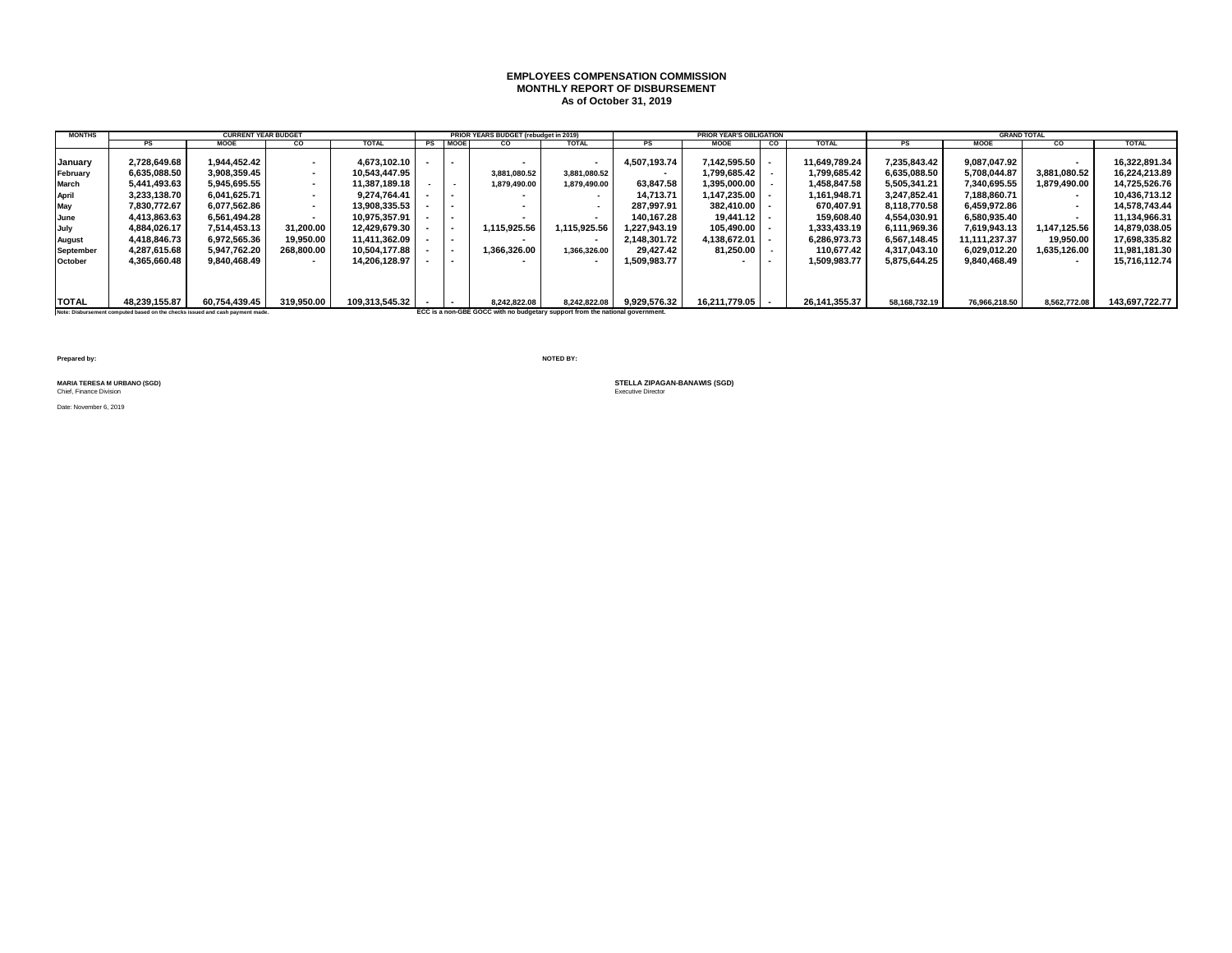#### **EMPLOYEES COMPENSATION COMMISSION MONTHLY REPORT OF DISBURSEMENT As of October 31, 2019**

| <b>MONTHS</b>    |                                                                               | <b>CURRENT YEAR BUDGET</b> |                          |                |                          | PRIOR YEARS BUDGET (rebudget in 2019)                                         |                          |              | <b>PRIOR YEAR'S OBLIGATION</b> |    |               |               | <b>GRAND TOTAL</b> |                          |                |
|------------------|-------------------------------------------------------------------------------|----------------------------|--------------------------|----------------|--------------------------|-------------------------------------------------------------------------------|--------------------------|--------------|--------------------------------|----|---------------|---------------|--------------------|--------------------------|----------------|
|                  | <b>PS</b>                                                                     | <b>MOOE</b>                | CO                       | <b>TOTAL</b>   | PS MOOE                  | CO                                                                            | <b>TOTAL</b>             | <b>PS</b>    | <b>MOOE</b>                    | CO | <b>TOTAL</b>  | <b>PS</b>     | <b>MOOE</b>        | CO.                      | <b>TOTAL</b>   |
| January          | 2.728.649.68                                                                  | 1.944.452.42               | $\sim$                   | 4.673.102.10   |                          |                                                                               |                          | 4.507.193.74 | $7.142.595.50$ -               |    | 11.649.789.24 | 7.235.843.42  | 9.087.047.92       | $\overline{\phantom{a}}$ | 16.322.891.34  |
| February         | 6.635.088.50                                                                  | 3.908.359.45               | $\sim$                   | 10.543.447.95  |                          | 3.881.080.52                                                                  | 3.881.080.52             |              | 1.799.685.42                   |    | 1.799.685.42  | 6.635.088.50  | 5.708.044.87       | 3.881.080.52             | 16.224.213.89  |
| March            | 5.441.493.63                                                                  | 5.945.695.55               | $\sim$                   | 11.387.189.18  | $\sim$                   | 1.879.490.00                                                                  | 1.879.490.00             | 63.847.58    | 1.395.000.00                   |    | 1.458.847.58  | 5.505.341.21  | 7.340.695.55       | 1.879.490.00             | 14.725.526.76  |
| <b>April</b>     | 3,233,138.70                                                                  | 6.041.625.71               | $\sim$                   | 9.274.764.41   | $\sim$                   |                                                                               |                          | 14.713.71    | 1.147.235.00 -                 |    | 1,161,948.71  | 3.247.852.41  | 7,188,860.71       | $\sim$                   | 10.436.713.12  |
| May              | 7.830.772.67                                                                  | 6.077.562.86               | $\sim$                   | 13.908.335.53  |                          |                                                                               |                          | 287.997.91   | $382.410.00$ $\blacksquare$    |    | 670.407.91    | 8.118.770.58  | 6,459,972.86       |                          | 14.578.743.44  |
| June             | 4,413,863.63                                                                  | 6.561.494.28               | $\overline{\phantom{a}}$ | 10.975.357.91  |                          |                                                                               | $\blacksquare$           | 140.167.28   | $19.441.12$ $\blacksquare$     |    | 159.608.40    | 4.554.030.91  | 6,580,935.40       | $\sim$                   | 11,134,966.31  |
| July             | 4.884.026.17                                                                  | 7.514.453.13               | 31.200.00                | 12,429,679.30  | $\sim$                   | 1.115.925.56                                                                  | 115,925.56.              | 1.227.943.19 | $105.490.00$ $\blacksquare$    |    | 1.333.433.19  | 6.111.969.36  | 7.619.943.13       | 1.147.125.56             | 14.879.038.05  |
| August           | 4.418.846.73                                                                  | 6.972.565.36               | 19,950.00                | 11.411.362.09  |                          | $\sim$                                                                        | $\blacksquare$           | 2.148.301.72 | 4.138.672.01                   |    | 6,286,973.73  | 6.567.148.45  | 11.111.237.37      | 19.950.00                | 17,698,335.82  |
| <b>September</b> | 4.287.615.68                                                                  | 5.947.762.20               | 268.800.00               | 10.504.177.88  | $\overline{\phantom{a}}$ | 1.366.326.00                                                                  | 1.366.326.00             | 29.427.42    | 81.250.00                      |    | 110.677.42    | 4.317.043.10  | 6.029.012.20       | 1.635.126.00             | 11,981,181.30  |
| October          | 4.365.660.48                                                                  | 9.840.468.49               |                          | 14.206.128.97  | $\sim$                   |                                                                               | $\overline{\phantom{a}}$ | 1.509.983.77 |                                |    | 1.509.983.77  | 5.875.644.25  | 9.840.468.49       | $\sim$                   | 15.716.112.74  |
|                  |                                                                               |                            |                          |                |                          |                                                                               |                          |              |                                |    |               |               |                    |                          |                |
| <b>TOTAL</b>     | 48.239.155.87                                                                 | 60,754,439.45              | 319.950.00               | 109.313.545.32 |                          | 8.242.822.08                                                                  | 8.242.822.08             | 9.929.576.32 | 16.211.779.05   -              |    | 26,141,355.37 | 58,168,732.19 | 76,966,218.50      | 8,562,772.08             | 143,697,722.77 |
|                  | Note: Disbursement computed based on the checks issued and cash payment made. |                            |                          |                |                          | ECC is a non-GBE GOCC with no budgetary support from the national government. |                          |              |                                |    |               |               |                    |                          |                |

**Prepared by: NOTED BY:**

**MARIA TERESA M URBANO (SGD)**<br>Chief, Finance Division

Date: November 6, 2019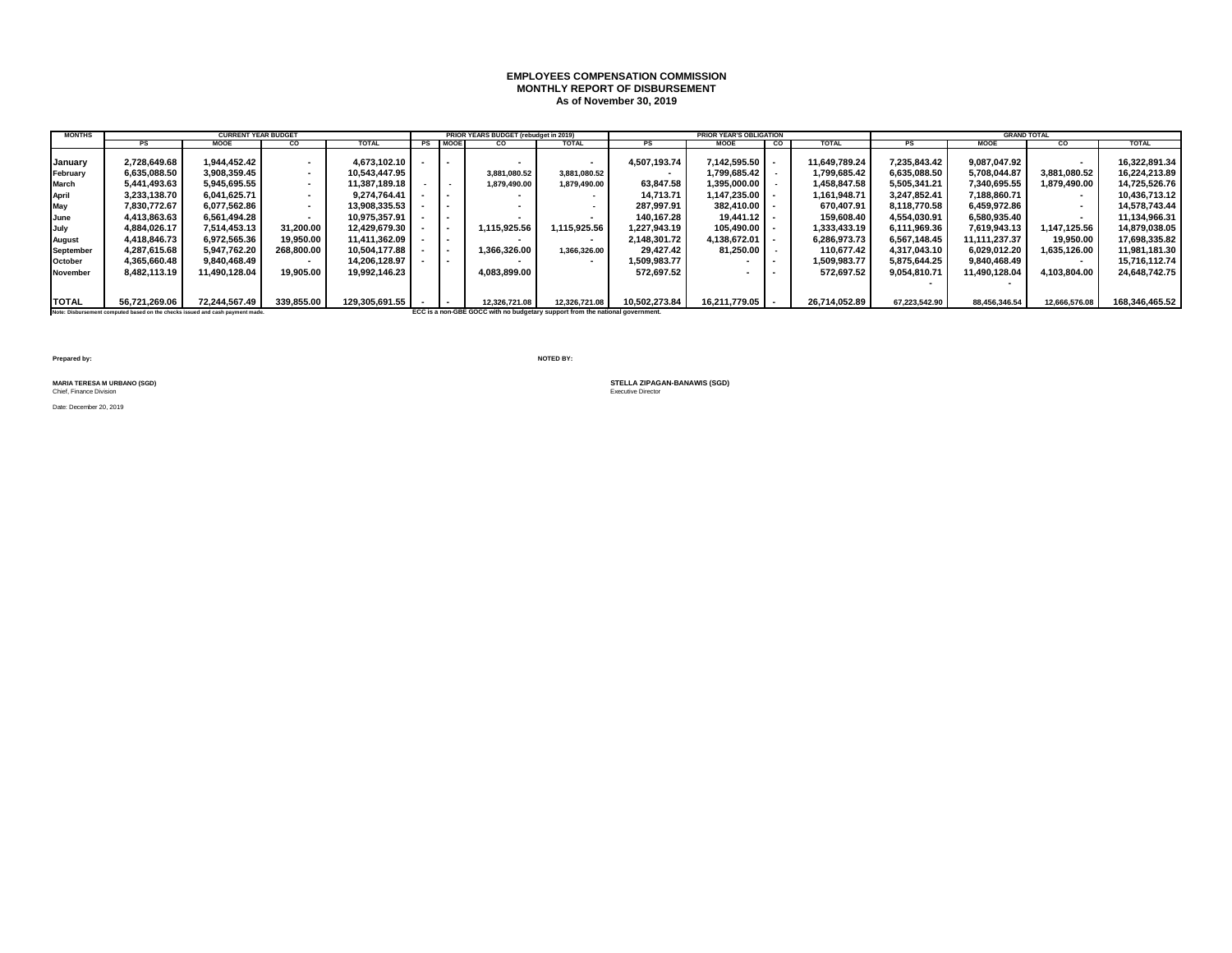### **EMPLOYEES COMPENSATION COMMISSION MONTHLY REPORT OF DISBURSEMENT As of November 30, 2019**

| <b>MONTHS</b>    |                                                                               | <b>CURRENT YEAR BUDGET</b> |                          |                |         | <b>PRIOR YEARS BUDGET (rebudget in 2019)</b>                                 |               |               | <b>PRIOR YEAR'S OBLIGATION</b> |    |               |               | <b>GRAND TOTAL</b> |                          |                |
|------------------|-------------------------------------------------------------------------------|----------------------------|--------------------------|----------------|---------|------------------------------------------------------------------------------|---------------|---------------|--------------------------------|----|---------------|---------------|--------------------|--------------------------|----------------|
|                  | <b>PS</b>                                                                     | <b>MOOE</b>                | CO                       | <b>TOTAL</b>   | PS MOOE | CO                                                                           | <b>TOTAL</b>  | <b>PS</b>     | <b>MOOE</b>                    | co | <b>TOTAL</b>  | PS            | <b>MOOE</b>        | CO.                      | <b>TOTAL</b>   |
|                  |                                                                               |                            |                          |                |         |                                                                              |               |               |                                |    |               |               |                    |                          |                |
| January          | 2.728.649.68                                                                  | 1.944.452.42               | $\overline{a}$           | 4.673.102.10   |         |                                                                              |               | 4.507.193.74  | $7.142.595.50$ -               |    | 11.649.789.24 | 7.235.843.42  | 9.087.047.92       | $\overline{\phantom{a}}$ | 16.322.891.34  |
| February         | 6.635.088.50                                                                  | 3.908.359.45               | $\sim$                   | 10.543.447.95  |         | 3.881.080.52                                                                 | 3.881.080.52  |               | 1.799.685.42                   |    | 1,799,685.42  | 6.635.088.50  | 5.708.044.87       | 3,881,080.52             | 16.224.213.89  |
| <b>March</b>     | 5.441.493.63                                                                  | 5,945,695.55               | . .                      | 11.387.189.18  | $\sim$  | 1,879,490.00                                                                 | 1.879.490.00  | 63,847.58     | 1.395.000.00                   |    | 1,458,847.58  | 5,505,341.21  | 7,340,695.55       | 1.879.490.00             | 14,725,526.76  |
| <b>April</b>     | 3.233.138.70                                                                  | 6.041.625.71               | $\sim$                   | 9.274.764.41   |         |                                                                              | . .           | 14.713.71     | $1.147.235.00$ -               |    | 1,161,948.71  | 3.247.852.41  | 7.188.860.71       | $\sim$                   | 10.436.713.12  |
| May              | 7.830.772.67                                                                  | 6.077.562.86               | $\sim$                   | 13.908.335.53  |         |                                                                              |               | 287.997.91    | 382.410.00                     |    | 670.407.91    | 8.118.770.58  | 6.459.972.86       | $\sim$                   | 14,578,743.44  |
| June             | 4,413,863.63                                                                  | 6.561.494.28               |                          | 10.975.357.91  |         |                                                                              |               | 140.167.28    | 19.441.12                      |    | 159,608.40    | 4,554,030.91  | 6,580,935.40       | $\overline{\phantom{a}}$ | 11,134,966.31  |
| July             | 4.884.026.17                                                                  | 7.514.453.13               | 31.200.00                | 12.429.679.30  | . .     | 1.115.925.56                                                                 | 1.115.925.56  | 1.227.943.19  | 105.490.00                     |    | 1,333,433.19  | 6.111.969.36  | 7.619.943.13       | 1.147.125.56             | 14,879,038.05  |
| August           | 4,418,846.73                                                                  | 6,972,565.36               | 19,950.00                | 11,411,362.09  |         |                                                                              |               | 2,148,301.72  | 4,138,672.01                   |    | 6,286,973.73  | 6,567,148.45  | 11.111.237.37      | 19,950.00                | 17,698,335.82  |
| <b>September</b> | 4.287.615.68                                                                  | 5.947.762.20               | 268.800.00               | 10.504.177.88  |         | 1.366.326.00                                                                 | 1.366.326.00  | 29.427.42     | 81.250.00                      |    | 110.677.42    | 4.317.043.10  | 6.029.012.20       | 1.635.126.00             | 11,981,181.30  |
| October          | 4.365.660.48                                                                  | 9.840.468.49               | $\overline{\phantom{a}}$ | 14.206.128.97  |         |                                                                              |               | 1.509.983.77  |                                |    | 1,509,983.77  | 5.875.644.25  | 9.840.468.49       | $\overline{\phantom{a}}$ | 15,716,112.74  |
| November         | 8.482.113.19                                                                  | 11.490.128.04              | 19.905.00                | 19.992.146.23  |         | 4.083.899.00                                                                 |               | 572.697.52    |                                |    | 572.697.52    | 9.054.810.71  | 11.490.128.04      | 4.103.804.00             | 24,648,742.75  |
|                  |                                                                               |                            |                          |                |         |                                                                              |               |               |                                |    |               |               |                    |                          |                |
| <b>TOTAL</b>     | 56.721.269.06                                                                 | 72.244.567.49              | 339.855.00               | 129,305,691.55 |         | 12,326,721.08                                                                | 12,326,721.08 | 10,502,273.84 | 16,211,779.05 -                |    | 26,714,052.89 | 67,223,542.90 | 88,456,346.54      | 12,666,576.08            | 168,346,465.52 |
|                  | Note: Disbursement computed based on the checks issued and cash payment made. |                            |                          |                |         | ECC is a non-GBE GOCC with no budgetary support from the national government |               |               |                                |    |               |               |                    |                          |                |

**Prepared by: NOTED BY:**

**MARIA TERESA M URBANO (SGD)**<br>Chief, Finance Division

Date: December 20, 2019